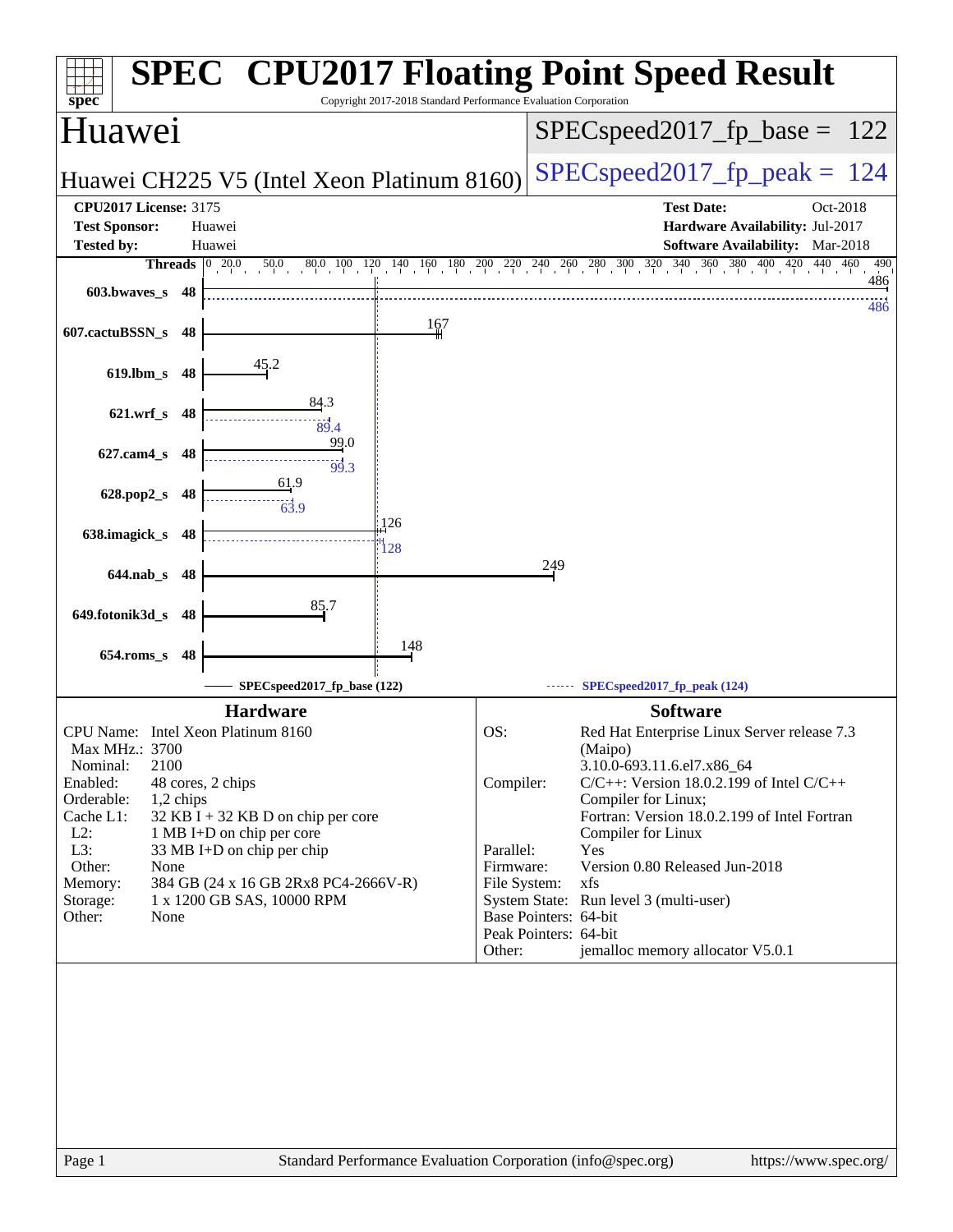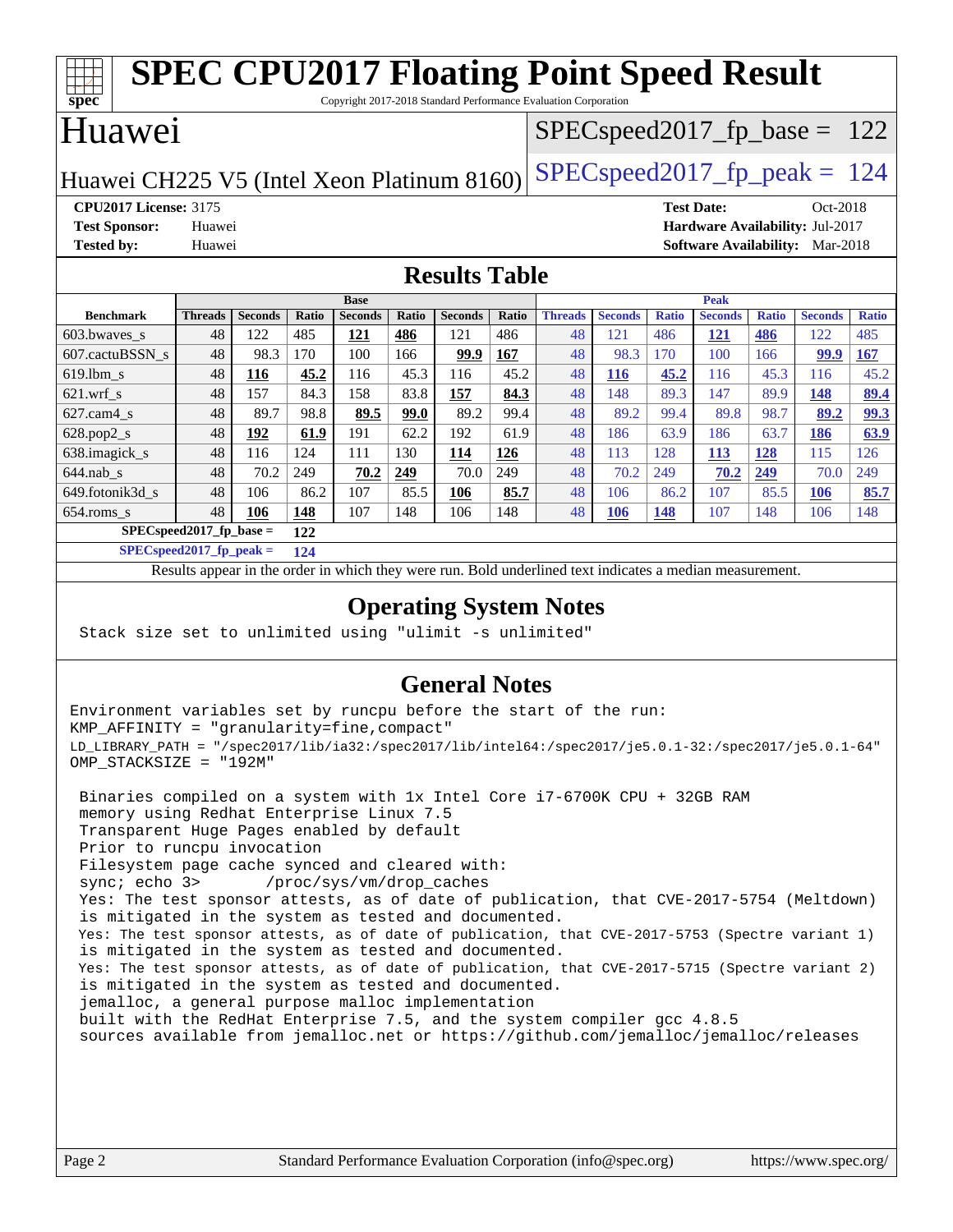| <b>SPEC CPU2017 Floating Point Speed Result</b>                                                                                                                    |                |                |       |                |       |                |       |                                  |                |              |                |              |                |              |
|--------------------------------------------------------------------------------------------------------------------------------------------------------------------|----------------|----------------|-------|----------------|-------|----------------|-------|----------------------------------|----------------|--------------|----------------|--------------|----------------|--------------|
| $spec*$<br>Copyright 2017-2018 Standard Performance Evaluation Corporation                                                                                         |                |                |       |                |       |                |       |                                  |                |              |                |              |                |              |
| Huawei                                                                                                                                                             |                |                |       |                |       |                |       | $SPEC speed2017_f p\_base = 122$ |                |              |                |              |                |              |
| $SPEC speed2017_fp\_peak = 124$<br>Huawei CH225 V5 (Intel Xeon Platinum 8160)                                                                                      |                |                |       |                |       |                |       |                                  |                |              |                |              |                |              |
| <b>CPU2017 License: 3175</b><br><b>Test Date:</b><br>Oct-2018                                                                                                      |                |                |       |                |       |                |       |                                  |                |              |                |              |                |              |
| Hardware Availability: Jul-2017<br><b>Test Sponsor:</b><br>Huawei                                                                                                  |                |                |       |                |       |                |       |                                  |                |              |                |              |                |              |
| <b>Tested by:</b><br><b>Software Availability:</b> Mar-2018<br>Huawei                                                                                              |                |                |       |                |       |                |       |                                  |                |              |                |              |                |              |
| <b>Results Table</b>                                                                                                                                               |                |                |       |                |       |                |       |                                  |                |              |                |              |                |              |
| <b>Peak</b><br><b>Base</b>                                                                                                                                         |                |                |       |                |       |                |       |                                  |                |              |                |              |                |              |
| <b>Benchmark</b>                                                                                                                                                   | <b>Threads</b> | <b>Seconds</b> | Ratio | <b>Seconds</b> | Ratio | <b>Seconds</b> | Ratio | <b>Threads</b>                   | <b>Seconds</b> | <b>Ratio</b> | <b>Seconds</b> | <b>Ratio</b> | <b>Seconds</b> | <b>Ratio</b> |
| 603.bwaves_s                                                                                                                                                       | 48             | 122            | 485   | 121            | 486   | 121            | 486   | 48                               | 121            | 486          | 121            | 486          | 122            | 485          |
| 607.cactuBSSN s                                                                                                                                                    | 48             | 98.3           | 170   | 100            | 166   | 99.9           | 167   | 48                               | 98.3           | 170          | 100            | 166          | 99.9           | 167          |
| $619.$ lbm_s                                                                                                                                                       | 48             | 116            | 45.2  | 116            | 45.3  | 116            | 45.2  | 48                               | <b>116</b>     | 45.2         | 116            | 45.3         | 116            | 45.2         |
| $621$ .wrf s                                                                                                                                                       | 48             | 157            | 84.3  | 158            | 83.8  | 157            | 84.3  | 48                               | 148            | 89.3         | 147            | 89.9         | 148            | 89.4         |
| $627$ .cam4 s                                                                                                                                                      | 48             | 89.7           | 98.8  | 89.5           | 99.0  | 89.2           | 99.4  | 48                               | 89.2           | 99.4         | 89.8           | 98.7         | 89.2           | 99.3         |
| 628.pop2_s                                                                                                                                                         | 48             | 192            | 61.9  | 191            | 62.2  | 192            | 61.9  | 48                               | 186            | 63.9         | 186            | 63.7         | 186            | 63.9         |
| 638.imagick_s                                                                                                                                                      | 48             | 116            | 124   | 111            | 130   | 114            | 126   | 48                               | 113            | 128          | 113            | 128          | 115            | 126          |
| $644$ .nab s                                                                                                                                                       | 48             | 70.2           | 249   | 70.2           | 249   | 70.0           | 249   | 48                               | 70.2           | 249          | 70.2           | 249          | 70.0           | 249          |
| 649.fotonik3d s                                                                                                                                                    | 48             | 106            | 86.2  | 107            | 85.5  | 106            | 85.7  | 48                               | 106            | 86.2         | 107            | 85.5         | 106            | 85.7         |
| $654$ .roms_s                                                                                                                                                      | 48             | 106            | 148   | 107            | 148   | 106            | 148   | 48                               | 106            | 148          | 107            | 148          | 106            | 148          |
| $SPECspeed2017$ fp base =<br>122                                                                                                                                   |                |                |       |                |       |                |       |                                  |                |              |                |              |                |              |
| $SPEC speed2017_fp_peak =$<br>124                                                                                                                                  |                |                |       |                |       |                |       |                                  |                |              |                |              |                |              |
| Results appear in the order in which they were run. Bold underlined text indicates a median measurement.                                                           |                |                |       |                |       |                |       |                                  |                |              |                |              |                |              |
| $\Omega$ <sub>r</sub> $\Omega$ <sub>r</sub> $\Omega$ <sub>r</sub> $\Omega$ <sub>r</sub> $\Omega$ <sub>r</sub> $\Omega$ <sub>r</sub> $\Omega$ <sub>r</sub> $\Omega$ |                |                |       |                |       |                |       |                                  |                |              |                |              |                |              |

### **[Operating System Notes](http://www.spec.org/auto/cpu2017/Docs/result-fields.html#OperatingSystemNotes)**

Stack size set to unlimited using "ulimit -s unlimited"

### **[General Notes](http://www.spec.org/auto/cpu2017/Docs/result-fields.html#GeneralNotes)**

Environment variables set by runcpu before the start of the run: KMP\_AFFINITY = "granularity=fine,compact" LD\_LIBRARY\_PATH = "/spec2017/lib/ia32:/spec2017/lib/intel64:/spec2017/je5.0.1-32:/spec2017/je5.0.1-64" OMP\_STACKSIZE = "192M"

 Binaries compiled on a system with 1x Intel Core i7-6700K CPU + 32GB RAM memory using Redhat Enterprise Linux 7.5 Transparent Huge Pages enabled by default Prior to runcpu invocation Filesystem page cache synced and cleared with: sync; echo 3> /proc/sys/vm/drop\_caches Yes: The test sponsor attests, as of date of publication, that CVE-2017-5754 (Meltdown) is mitigated in the system as tested and documented. Yes: The test sponsor attests, as of date of publication, that CVE-2017-5753 (Spectre variant 1) is mitigated in the system as tested and documented. Yes: The test sponsor attests, as of date of publication, that CVE-2017-5715 (Spectre variant 2) is mitigated in the system as tested and documented. jemalloc, a general purpose malloc implementation built with the RedHat Enterprise 7.5, and the system compiler gcc 4.8.5 sources available from jemalloc.net or <https://github.com/jemalloc/jemalloc/releases>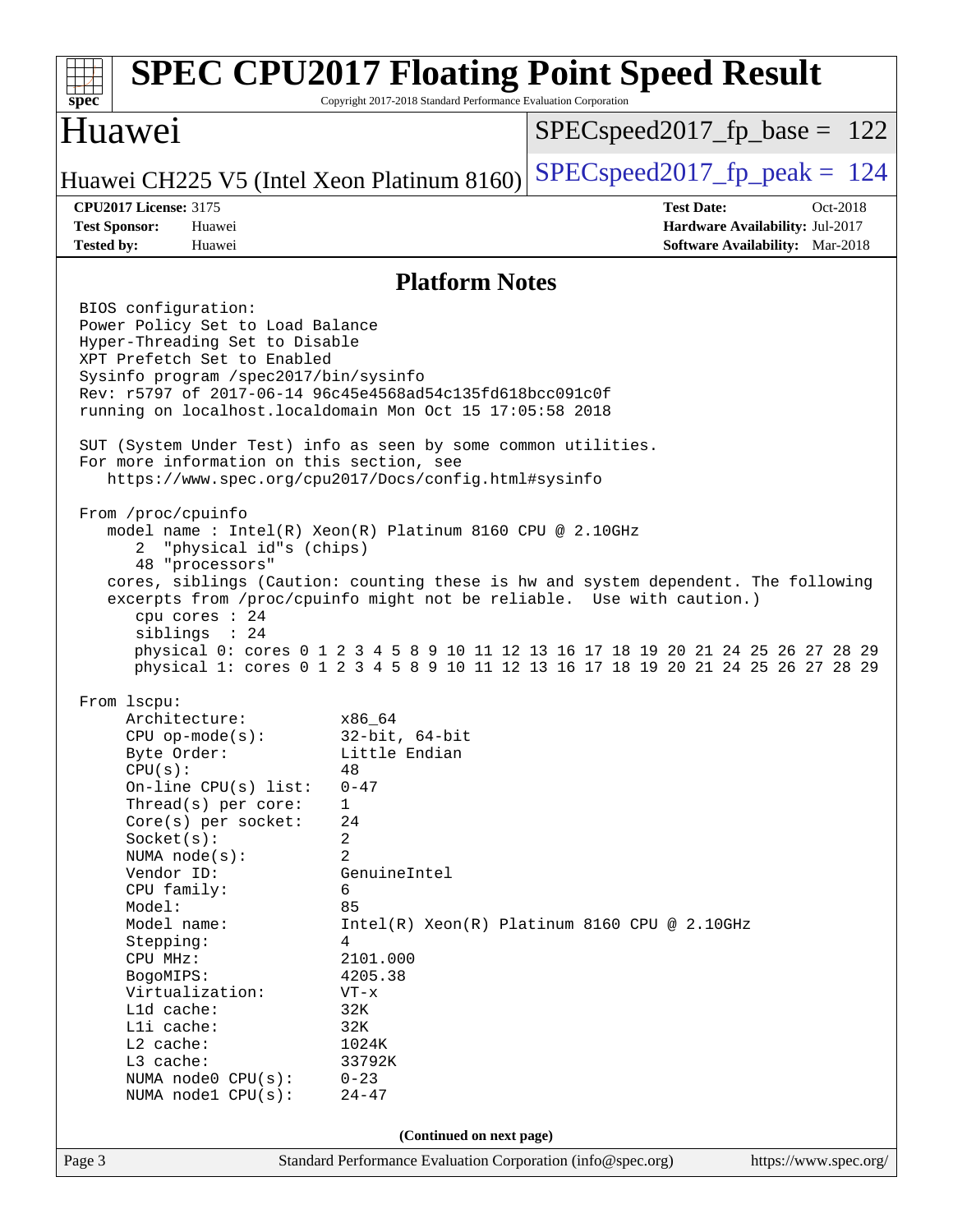| $spec^*$                                                                                                                                                                                                                                                                                                                                                                                                                                                                                                                                                                                                                                                                                                                                                                                                                                                                                                                                                                                                                                                                                                                                                                                                                                                                                                                                                                                                                                                                                                                                                                                                                                                                                                       | Copyright 2017-2018 Standard Performance Evaluation Corporation | <b>SPEC CPU2017 Floating Point Speed Result</b>                                                            |  |  |  |
|----------------------------------------------------------------------------------------------------------------------------------------------------------------------------------------------------------------------------------------------------------------------------------------------------------------------------------------------------------------------------------------------------------------------------------------------------------------------------------------------------------------------------------------------------------------------------------------------------------------------------------------------------------------------------------------------------------------------------------------------------------------------------------------------------------------------------------------------------------------------------------------------------------------------------------------------------------------------------------------------------------------------------------------------------------------------------------------------------------------------------------------------------------------------------------------------------------------------------------------------------------------------------------------------------------------------------------------------------------------------------------------------------------------------------------------------------------------------------------------------------------------------------------------------------------------------------------------------------------------------------------------------------------------------------------------------------------------|-----------------------------------------------------------------|------------------------------------------------------------------------------------------------------------|--|--|--|
| Huawei                                                                                                                                                                                                                                                                                                                                                                                                                                                                                                                                                                                                                                                                                                                                                                                                                                                                                                                                                                                                                                                                                                                                                                                                                                                                                                                                                                                                                                                                                                                                                                                                                                                                                                         | $SPEC speed2017_fp\_base = 122$                                 |                                                                                                            |  |  |  |
| Huawei CH225 V5 (Intel Xeon Platinum 8160)                                                                                                                                                                                                                                                                                                                                                                                                                                                                                                                                                                                                                                                                                                                                                                                                                                                                                                                                                                                                                                                                                                                                                                                                                                                                                                                                                                                                                                                                                                                                                                                                                                                                     | $SPEC speed2017_fp\_peak = 124$                                 |                                                                                                            |  |  |  |
| <b>CPU2017 License: 3175</b><br><b>Test Sponsor:</b><br>Huawei<br><b>Tested by:</b><br>Huawei                                                                                                                                                                                                                                                                                                                                                                                                                                                                                                                                                                                                                                                                                                                                                                                                                                                                                                                                                                                                                                                                                                                                                                                                                                                                                                                                                                                                                                                                                                                                                                                                                  |                                                                 | <b>Test Date:</b><br>Oct-2018<br>Hardware Availability: Jul-2017<br><b>Software Availability:</b> Mar-2018 |  |  |  |
|                                                                                                                                                                                                                                                                                                                                                                                                                                                                                                                                                                                                                                                                                                                                                                                                                                                                                                                                                                                                                                                                                                                                                                                                                                                                                                                                                                                                                                                                                                                                                                                                                                                                                                                |                                                                 |                                                                                                            |  |  |  |
| <b>Platform Notes</b><br>BIOS configuration:<br>Power Policy Set to Load Balance<br>Hyper-Threading Set to Disable<br>XPT Prefetch Set to Enabled<br>Sysinfo program /spec2017/bin/sysinfo<br>Rev: r5797 of 2017-06-14 96c45e4568ad54c135fd618bcc091c0f<br>running on localhost.localdomain Mon Oct 15 17:05:58 2018<br>SUT (System Under Test) info as seen by some common utilities.<br>For more information on this section, see<br>https://www.spec.org/cpu2017/Docs/config.html#sysinfo<br>From /proc/cpuinfo<br>model name: $Intel(R)$ Xeon $(R)$ Platinum 8160 CPU @ 2.10GHz<br>"physical id"s (chips)<br>2<br>48 "processors"<br>cores, siblings (Caution: counting these is hw and system dependent. The following<br>excerpts from /proc/cpuinfo might not be reliable. Use with caution.)<br>cpu cores : 24<br>siblings : 24<br>physical 0: cores 0 1 2 3 4 5 8 9 10 11 12 13 16 17 18 19 20 21 24 25 26 27 28 29<br>physical 1: cores 0 1 2 3 4 5 8 9 10 11 12 13 16 17 18 19 20 21 24 25 26 27 28 29<br>From 1scpu:<br>Architecture:<br>x86 64<br>$32$ -bit, $64$ -bit<br>$CPU$ op-mode( $s$ ):<br>Little Endian<br>Byte Order:<br>CPU(s):<br>48<br>On-line CPU(s) list:<br>$0 - 47$<br>Thread(s) per core:<br>1<br>Core(s) per socket:<br>24<br>Socket(s):<br>2<br>$\overline{2}$<br>NUMA node(s):<br>Vendor ID:<br>GenuineIntel<br>CPU family:<br>6<br>85<br>Model:<br>Intel(R) Xeon(R) Platinum 8160 CPU @ 2.10GHz<br>Model name:<br>Stepping:<br>4<br>CPU MHz:<br>2101.000<br>4205.38<br>BogoMIPS:<br>Virtualization:<br>$VT - x$<br>L1d cache:<br>32K<br>Lli cache:<br>32K<br>L2 cache:<br>1024K<br>L3 cache:<br>33792K<br>NUMA node0 CPU(s):<br>$0 - 23$<br>NUMA nodel CPU(s):<br>$24 - 47$ |                                                                 |                                                                                                            |  |  |  |
| (Continued on next page)                                                                                                                                                                                                                                                                                                                                                                                                                                                                                                                                                                                                                                                                                                                                                                                                                                                                                                                                                                                                                                                                                                                                                                                                                                                                                                                                                                                                                                                                                                                                                                                                                                                                                       |                                                                 |                                                                                                            |  |  |  |
| Page 3                                                                                                                                                                                                                                                                                                                                                                                                                                                                                                                                                                                                                                                                                                                                                                                                                                                                                                                                                                                                                                                                                                                                                                                                                                                                                                                                                                                                                                                                                                                                                                                                                                                                                                         | Standard Performance Evaluation Corporation (info@spec.org)     | https://www.spec.org/                                                                                      |  |  |  |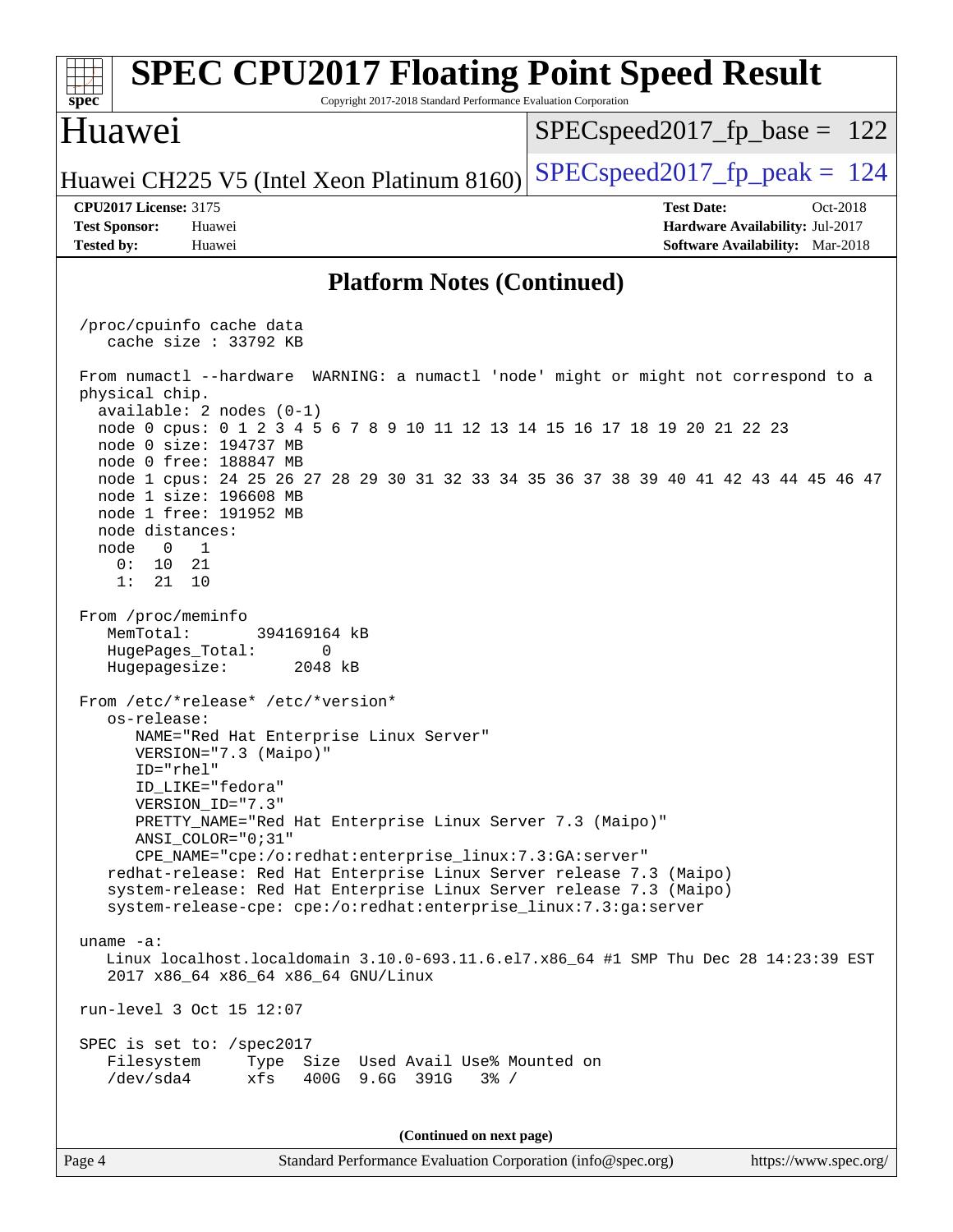| <b>SPEC CPU2017 Floating Point Speed Result</b><br>spec<br>Copyright 2017-2018 Standard Performance Evaluation Corporation                                                                                                                                                                                                                                                                                                                                                                                                                                                                                                                                                                                                                                                                                                                                                                                                                                                                                                                                                                                                                                                                                                                                                                                                                                                                                                               |                                                                  |  |  |  |  |  |
|------------------------------------------------------------------------------------------------------------------------------------------------------------------------------------------------------------------------------------------------------------------------------------------------------------------------------------------------------------------------------------------------------------------------------------------------------------------------------------------------------------------------------------------------------------------------------------------------------------------------------------------------------------------------------------------------------------------------------------------------------------------------------------------------------------------------------------------------------------------------------------------------------------------------------------------------------------------------------------------------------------------------------------------------------------------------------------------------------------------------------------------------------------------------------------------------------------------------------------------------------------------------------------------------------------------------------------------------------------------------------------------------------------------------------------------|------------------------------------------------------------------|--|--|--|--|--|
| Huawei                                                                                                                                                                                                                                                                                                                                                                                                                                                                                                                                                                                                                                                                                                                                                                                                                                                                                                                                                                                                                                                                                                                                                                                                                                                                                                                                                                                                                                   | $SPEC speed2017_f p\_base = 122$                                 |  |  |  |  |  |
| Huawei CH225 V5 (Intel Xeon Platinum 8160)                                                                                                                                                                                                                                                                                                                                                                                                                                                                                                                                                                                                                                                                                                                                                                                                                                                                                                                                                                                                                                                                                                                                                                                                                                                                                                                                                                                               | $SPEC speed2017_fp\_peak = 124$                                  |  |  |  |  |  |
| <b>CPU2017 License: 3175</b><br><b>Test Sponsor:</b><br>Huawei                                                                                                                                                                                                                                                                                                                                                                                                                                                                                                                                                                                                                                                                                                                                                                                                                                                                                                                                                                                                                                                                                                                                                                                                                                                                                                                                                                           | <b>Test Date:</b><br>Oct-2018<br>Hardware Availability: Jul-2017 |  |  |  |  |  |
| Software Availability: Mar-2018<br><b>Tested by:</b><br>Huawei<br><b>Platform Notes (Continued)</b>                                                                                                                                                                                                                                                                                                                                                                                                                                                                                                                                                                                                                                                                                                                                                                                                                                                                                                                                                                                                                                                                                                                                                                                                                                                                                                                                      |                                                                  |  |  |  |  |  |
|                                                                                                                                                                                                                                                                                                                                                                                                                                                                                                                                                                                                                                                                                                                                                                                                                                                                                                                                                                                                                                                                                                                                                                                                                                                                                                                                                                                                                                          |                                                                  |  |  |  |  |  |
| /proc/cpuinfo cache data<br>cache size $: 33792$ KB                                                                                                                                                                                                                                                                                                                                                                                                                                                                                                                                                                                                                                                                                                                                                                                                                                                                                                                                                                                                                                                                                                                                                                                                                                                                                                                                                                                      |                                                                  |  |  |  |  |  |
| From numactl --hardware WARNING: a numactl 'node' might or might not correspond to a<br>physical chip.<br>$available: 2 nodes (0-1)$<br>node 0 cpus: 0 1 2 3 4 5 6 7 8 9 10 11 12 13 14 15 16 17 18 19 20 21 22 23<br>node 0 size: 194737 MB<br>node 0 free: 188847 MB<br>node 1 cpus: 24 25 26 27 28 29 30 31 32 33 34 35 36 37 38 39 40 41 42 43 44 45 46 47<br>node 1 size: 196608 MB<br>node 1 free: 191952 MB<br>node distances:<br>node<br>$\overline{0}$<br>$\overline{1}$<br>0:<br>10<br>21<br>1:<br>21<br>10<br>From /proc/meminfo<br>MemTotal:<br>394169164 kB<br>HugePages_Total:<br>0<br>Hugepagesize:<br>2048 kB<br>From /etc/*release* /etc/*version*<br>os-release:<br>NAME="Red Hat Enterprise Linux Server"<br>VERSION="7.3 (Maipo)"<br>ID="rhel"<br>ID LIKE="fedora"<br>VERSION_ID="7.3"<br>PRETTY_NAME="Red Hat Enterprise Linux Server 7.3 (Maipo)"<br>ANSI COLOR="0;31"<br>CPE_NAME="cpe:/o:redhat:enterprise_linux:7.3:GA:server"<br>redhat-release: Red Hat Enterprise Linux Server release 7.3 (Maipo)<br>system-release: Red Hat Enterprise Linux Server release 7.3 (Maipo)<br>system-release-cpe: cpe:/o:redhat:enterprise_linux:7.3:ga:server<br>uname $-a$ :<br>Linux localhost.localdomain 3.10.0-693.11.6.el7.x86_64 #1 SMP Thu Dec 28 14:23:39 EST<br>2017 x86_64 x86_64 x86_64 GNU/Linux<br>run-level 3 Oct 15 12:07<br>SPEC is set to: /spec2017<br>Filesystem<br>Type Size Used Avail Use% Mounted on |                                                                  |  |  |  |  |  |
| /dev/sda4<br>xfs<br>400G 9.6G 391G<br>$3\frac{6}{9}$ /                                                                                                                                                                                                                                                                                                                                                                                                                                                                                                                                                                                                                                                                                                                                                                                                                                                                                                                                                                                                                                                                                                                                                                                                                                                                                                                                                                                   |                                                                  |  |  |  |  |  |
| (Continued on next page)                                                                                                                                                                                                                                                                                                                                                                                                                                                                                                                                                                                                                                                                                                                                                                                                                                                                                                                                                                                                                                                                                                                                                                                                                                                                                                                                                                                                                 |                                                                  |  |  |  |  |  |
| Standard Performance Evaluation Corporation (info@spec.org)<br>Page 4                                                                                                                                                                                                                                                                                                                                                                                                                                                                                                                                                                                                                                                                                                                                                                                                                                                                                                                                                                                                                                                                                                                                                                                                                                                                                                                                                                    | https://www.spec.org/                                            |  |  |  |  |  |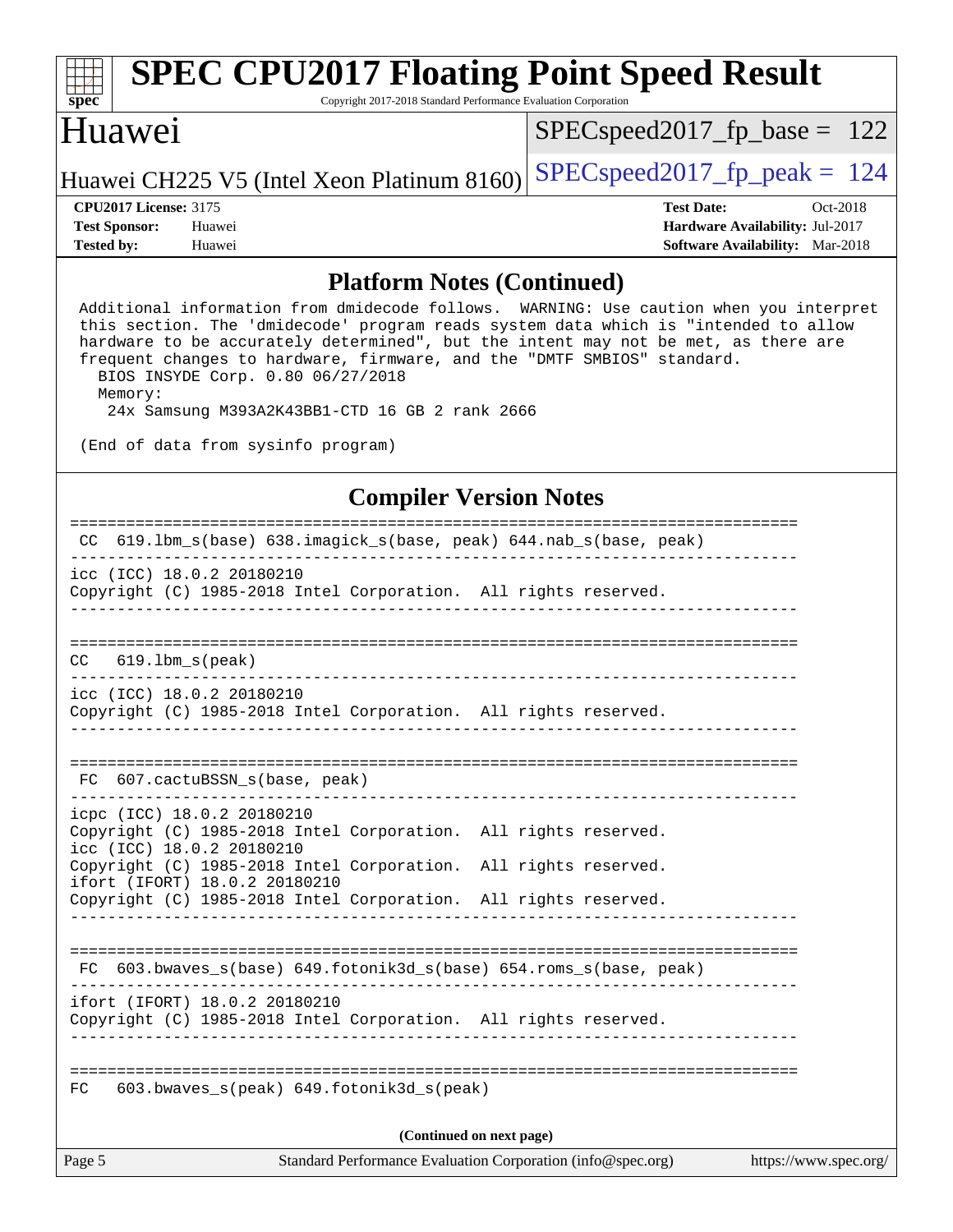| <b>SPEC CPU2017 Floating Point Speed Result</b><br>$Spec*$<br>Copyright 2017-2018 Standard Performance Evaluation Corporation |                              |        |                                            |                                 |                                        |          |  |
|-------------------------------------------------------------------------------------------------------------------------------|------------------------------|--------|--------------------------------------------|---------------------------------|----------------------------------------|----------|--|
| Huawei                                                                                                                        |                              |        |                                            | $SPEC speed2017_fp\_base = 122$ |                                        |          |  |
|                                                                                                                               |                              |        | Huawei CH225 V5 (Intel Xeon Platinum 8160) | $SPEC speed2017fp peak = 124$   |                                        |          |  |
|                                                                                                                               | <b>CPU2017 License: 3175</b> |        |                                            |                                 | <b>Test Date:</b>                      | Oct-2018 |  |
| <b>Test Sponsor:</b>                                                                                                          |                              | Huawei |                                            |                                 | <b>Hardware Availability: Jul-2017</b> |          |  |
| <b>Tested by:</b>                                                                                                             |                              | Huawei |                                            |                                 | <b>Software Availability:</b> Mar-2018 |          |  |
|                                                                                                                               |                              |        | <b>Platform Notes (Continued)</b>          |                                 |                                        |          |  |

 Additional information from dmidecode follows. WARNING: Use caution when you interpret this section. The 'dmidecode' program reads system data which is "intended to allow hardware to be accurately determined", but the intent may not be met, as there are frequent changes to hardware, firmware, and the "DMTF SMBIOS" standard. BIOS INSYDE Corp. 0.80 06/27/2018 Memory:

24x Samsung M393A2K43BB1-CTD 16 GB 2 rank 2666

(End of data from sysinfo program)

### **[Compiler Version Notes](http://www.spec.org/auto/cpu2017/Docs/result-fields.html#CompilerVersionNotes)**

| $619.1 \text{bm}\_\text{s}(\text{base})$ $638.imagick\_\text{s}(\text{base}, \text{peak})$ $644.nak\_\text{s}(\text{base}, \text{peak})$<br>CC. |  |  |  |  |  |
|-------------------------------------------------------------------------------------------------------------------------------------------------|--|--|--|--|--|
| icc (ICC) 18.0.2 20180210<br>Copyright (C) 1985-2018 Intel Corporation. All rights reserved.                                                    |  |  |  |  |  |
|                                                                                                                                                 |  |  |  |  |  |
| $619.1$ bm_s(peak)<br>CC.                                                                                                                       |  |  |  |  |  |
| icc (ICC) 18.0.2 20180210<br>Copyright (C) 1985-2018 Intel Corporation. All rights reserved.                                                    |  |  |  |  |  |
| 607.cactuBSSN s(base, peak)<br>FC                                                                                                               |  |  |  |  |  |
| icpc (ICC) 18.0.2 20180210<br>Copyright (C) 1985-2018 Intel Corporation. All rights reserved.<br>icc (ICC) 18.0.2 20180210                      |  |  |  |  |  |
| Copyright (C) 1985-2018 Intel Corporation. All rights reserved.<br>ifort (IFORT) 18.0.2 20180210                                                |  |  |  |  |  |
| Copyright (C) 1985-2018 Intel Corporation. All rights reserved.                                                                                 |  |  |  |  |  |
| 603.bwaves_s(base) 649.fotonik3d_s(base) 654.roms_s(base, peak)<br>FC.                                                                          |  |  |  |  |  |
| ifort (IFORT) 18.0.2 20180210<br>Copyright (C) 1985-2018 Intel Corporation. All rights reserved.                                                |  |  |  |  |  |
| $603.bwaves$ s(peak) $649.fotonik3d$ s(peak)<br>FC.                                                                                             |  |  |  |  |  |
| (Continued on next page)                                                                                                                        |  |  |  |  |  |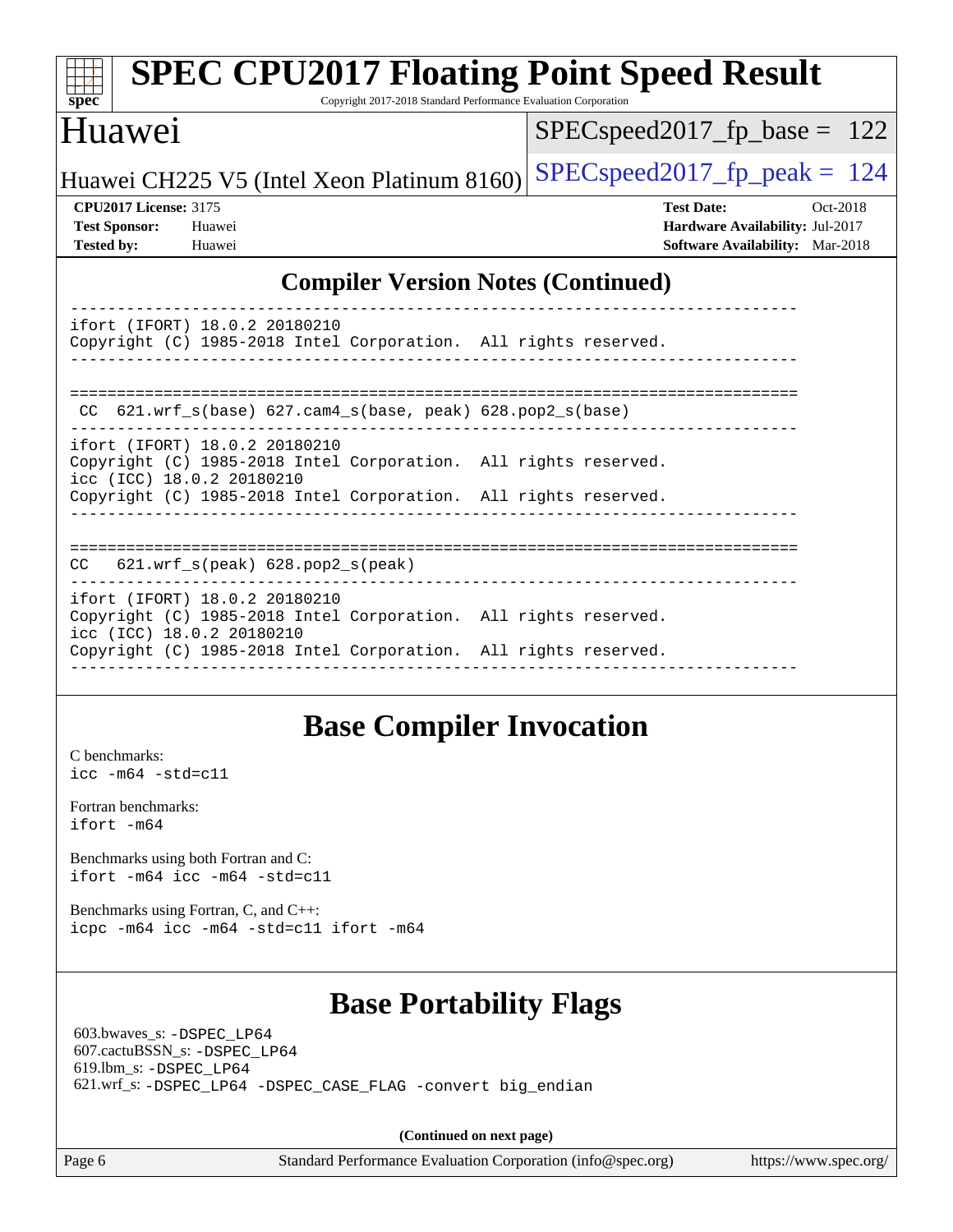| <b>SPEC CPU2017 Floating Point Speed Result</b><br>spec<br>Copyright 2017-2018 Standard Performance Evaluation Corporation                                                                       |                                                                                                            |
|--------------------------------------------------------------------------------------------------------------------------------------------------------------------------------------------------|------------------------------------------------------------------------------------------------------------|
| Huawei                                                                                                                                                                                           | $SPEC speed2017_fp\_base = 122$                                                                            |
| Huawei CH225 V5 (Intel Xeon Platinum 8160)                                                                                                                                                       | $SPEC speed2017_fp\_peak = 124$                                                                            |
| <b>CPU2017 License: 3175</b><br><b>Test Sponsor:</b><br>Huawei<br><b>Tested by:</b><br>Huawei                                                                                                    | <b>Test Date:</b><br>Oct-2018<br>Hardware Availability: Jul-2017<br><b>Software Availability:</b> Mar-2018 |
| <b>Compiler Version Notes (Continued)</b>                                                                                                                                                        |                                                                                                            |
| ifort (IFORT) 18.0.2 20180210<br>Copyright (C) 1985-2018 Intel Corporation. All rights reserved.                                                                                                 |                                                                                                            |
| CC 621.wrf_s(base) 627.cam4_s(base, peak) 628.pop2_s(base)                                                                                                                                       |                                                                                                            |
| ifort (IFORT) 18.0.2 20180210<br>Copyright (C) 1985-2018 Intel Corporation. All rights reserved.<br>icc (ICC) 18.0.2 20180210<br>Copyright (C) 1985-2018 Intel Corporation. All rights reserved. |                                                                                                            |
| 621.wrf_s(peak) 628.pop2_s(peak)<br>CC.                                                                                                                                                          |                                                                                                            |
| ifort (IFORT) 18.0.2 20180210<br>Copyright (C) 1985-2018 Intel Corporation. All rights reserved.<br>icc (ICC) 18.0.2 20180210<br>Copyright (C) 1985-2018 Intel Corporation. All rights reserved. |                                                                                                            |

## **[Base Compiler Invocation](http://www.spec.org/auto/cpu2017/Docs/result-fields.html#BaseCompilerInvocation)**

------------------------------------------------------------------------------

[C benchmarks](http://www.spec.org/auto/cpu2017/Docs/result-fields.html#Cbenchmarks): [icc -m64 -std=c11](http://www.spec.org/cpu2017/results/res2018q4/cpu2017-20181015-09203.flags.html#user_CCbase_intel_icc_64bit_c11_33ee0cdaae7deeeab2a9725423ba97205ce30f63b9926c2519791662299b76a0318f32ddfffdc46587804de3178b4f9328c46fa7c2b0cd779d7a61945c91cd35)

[Fortran benchmarks](http://www.spec.org/auto/cpu2017/Docs/result-fields.html#Fortranbenchmarks): [ifort -m64](http://www.spec.org/cpu2017/results/res2018q4/cpu2017-20181015-09203.flags.html#user_FCbase_intel_ifort_64bit_24f2bb282fbaeffd6157abe4f878425411749daecae9a33200eee2bee2fe76f3b89351d69a8130dd5949958ce389cf37ff59a95e7a40d588e8d3a57e0c3fd751)

[Benchmarks using both Fortran and C](http://www.spec.org/auto/cpu2017/Docs/result-fields.html#BenchmarksusingbothFortranandC): [ifort -m64](http://www.spec.org/cpu2017/results/res2018q4/cpu2017-20181015-09203.flags.html#user_CC_FCbase_intel_ifort_64bit_24f2bb282fbaeffd6157abe4f878425411749daecae9a33200eee2bee2fe76f3b89351d69a8130dd5949958ce389cf37ff59a95e7a40d588e8d3a57e0c3fd751) [icc -m64 -std=c11](http://www.spec.org/cpu2017/results/res2018q4/cpu2017-20181015-09203.flags.html#user_CC_FCbase_intel_icc_64bit_c11_33ee0cdaae7deeeab2a9725423ba97205ce30f63b9926c2519791662299b76a0318f32ddfffdc46587804de3178b4f9328c46fa7c2b0cd779d7a61945c91cd35)

[Benchmarks using Fortran, C, and C++:](http://www.spec.org/auto/cpu2017/Docs/result-fields.html#BenchmarksusingFortranCandCXX) [icpc -m64](http://www.spec.org/cpu2017/results/res2018q4/cpu2017-20181015-09203.flags.html#user_CC_CXX_FCbase_intel_icpc_64bit_4ecb2543ae3f1412ef961e0650ca070fec7b7afdcd6ed48761b84423119d1bf6bdf5cad15b44d48e7256388bc77273b966e5eb805aefd121eb22e9299b2ec9d9) [icc -m64 -std=c11](http://www.spec.org/cpu2017/results/res2018q4/cpu2017-20181015-09203.flags.html#user_CC_CXX_FCbase_intel_icc_64bit_c11_33ee0cdaae7deeeab2a9725423ba97205ce30f63b9926c2519791662299b76a0318f32ddfffdc46587804de3178b4f9328c46fa7c2b0cd779d7a61945c91cd35) [ifort -m64](http://www.spec.org/cpu2017/results/res2018q4/cpu2017-20181015-09203.flags.html#user_CC_CXX_FCbase_intel_ifort_64bit_24f2bb282fbaeffd6157abe4f878425411749daecae9a33200eee2bee2fe76f3b89351d69a8130dd5949958ce389cf37ff59a95e7a40d588e8d3a57e0c3fd751)

## **[Base Portability Flags](http://www.spec.org/auto/cpu2017/Docs/result-fields.html#BasePortabilityFlags)**

 603.bwaves\_s: [-DSPEC\\_LP64](http://www.spec.org/cpu2017/results/res2018q4/cpu2017-20181015-09203.flags.html#suite_basePORTABILITY603_bwaves_s_DSPEC_LP64) 607.cactuBSSN\_s: [-DSPEC\\_LP64](http://www.spec.org/cpu2017/results/res2018q4/cpu2017-20181015-09203.flags.html#suite_basePORTABILITY607_cactuBSSN_s_DSPEC_LP64) 619.lbm\_s: [-DSPEC\\_LP64](http://www.spec.org/cpu2017/results/res2018q4/cpu2017-20181015-09203.flags.html#suite_basePORTABILITY619_lbm_s_DSPEC_LP64) 621.wrf\_s: [-DSPEC\\_LP64](http://www.spec.org/cpu2017/results/res2018q4/cpu2017-20181015-09203.flags.html#suite_basePORTABILITY621_wrf_s_DSPEC_LP64) [-DSPEC\\_CASE\\_FLAG](http://www.spec.org/cpu2017/results/res2018q4/cpu2017-20181015-09203.flags.html#b621.wrf_s_baseCPORTABILITY_DSPEC_CASE_FLAG) [-convert big\\_endian](http://www.spec.org/cpu2017/results/res2018q4/cpu2017-20181015-09203.flags.html#user_baseFPORTABILITY621_wrf_s_convert_big_endian_c3194028bc08c63ac5d04de18c48ce6d347e4e562e8892b8bdbdc0214820426deb8554edfa529a3fb25a586e65a3d812c835984020483e7e73212c4d31a38223)

**(Continued on next page)**

Page 6 Standard Performance Evaluation Corporation [\(info@spec.org\)](mailto:info@spec.org) <https://www.spec.org/>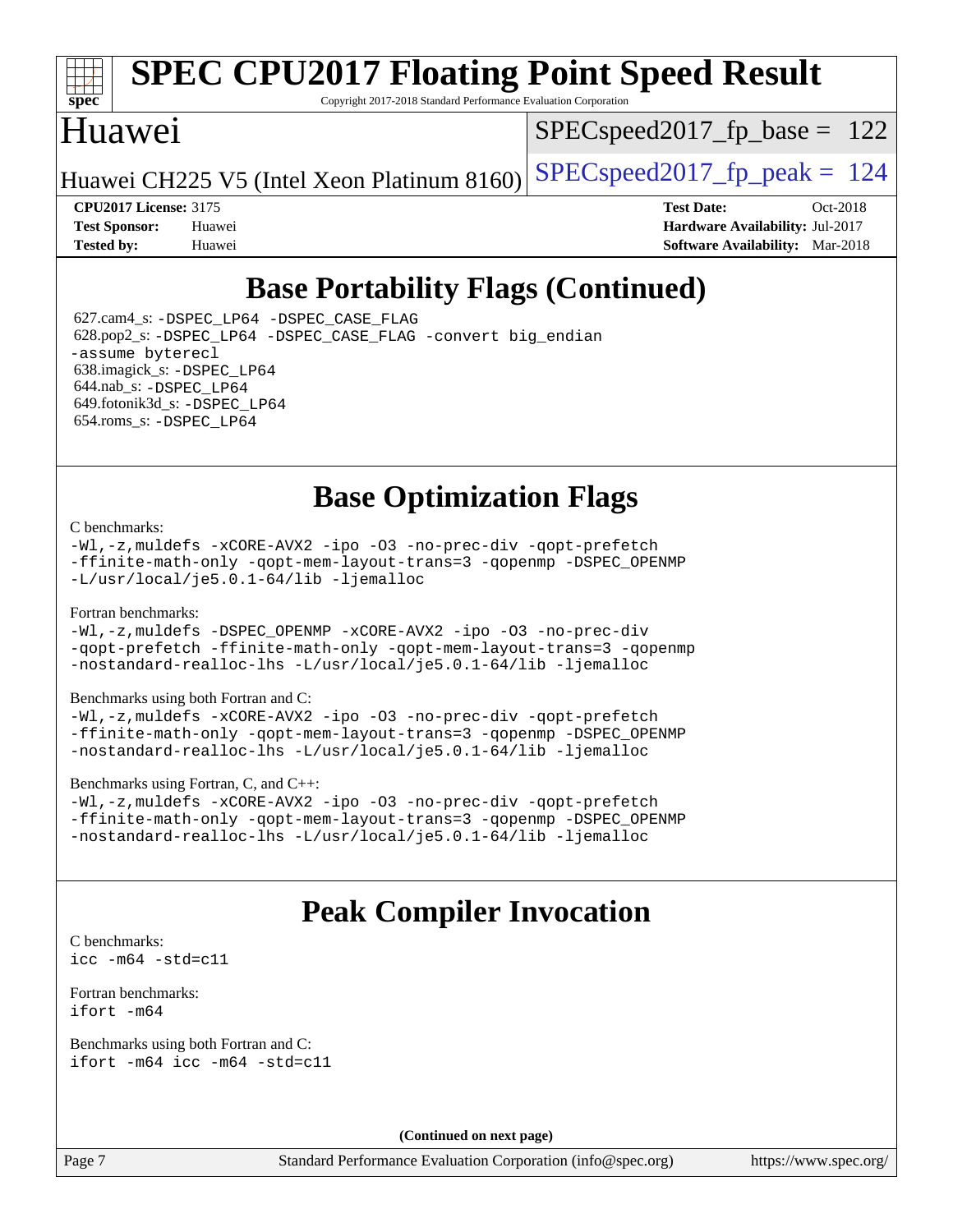

# **[SPEC CPU2017 Floating Point Speed Result](http://www.spec.org/auto/cpu2017/Docs/result-fields.html#SPECCPU2017FloatingPointSpeedResult)**

Copyright 2017-2018 Standard Performance Evaluation Corporation

## Huawei

SPECspeed2017 fp base =  $122$ 

Huawei CH225 V5 (Intel Xeon Platinum 8160) SPECspeed2017\_fp\_peak  $= 124$ 

**[CPU2017 License:](http://www.spec.org/auto/cpu2017/Docs/result-fields.html#CPU2017License)** 3175 **[Test Date:](http://www.spec.org/auto/cpu2017/Docs/result-fields.html#TestDate)** Oct-2018 **[Test Sponsor:](http://www.spec.org/auto/cpu2017/Docs/result-fields.html#TestSponsor)** Huawei **[Hardware Availability:](http://www.spec.org/auto/cpu2017/Docs/result-fields.html#HardwareAvailability)** Jul-2017 **[Tested by:](http://www.spec.org/auto/cpu2017/Docs/result-fields.html#Testedby)** Huawei **[Software Availability:](http://www.spec.org/auto/cpu2017/Docs/result-fields.html#SoftwareAvailability)** Mar-2018

## **[Base Portability Flags \(Continued\)](http://www.spec.org/auto/cpu2017/Docs/result-fields.html#BasePortabilityFlags)**

 627.cam4\_s: [-DSPEC\\_LP64](http://www.spec.org/cpu2017/results/res2018q4/cpu2017-20181015-09203.flags.html#suite_basePORTABILITY627_cam4_s_DSPEC_LP64) [-DSPEC\\_CASE\\_FLAG](http://www.spec.org/cpu2017/results/res2018q4/cpu2017-20181015-09203.flags.html#b627.cam4_s_baseCPORTABILITY_DSPEC_CASE_FLAG) 628.pop2\_s: [-DSPEC\\_LP64](http://www.spec.org/cpu2017/results/res2018q4/cpu2017-20181015-09203.flags.html#suite_basePORTABILITY628_pop2_s_DSPEC_LP64) [-DSPEC\\_CASE\\_FLAG](http://www.spec.org/cpu2017/results/res2018q4/cpu2017-20181015-09203.flags.html#b628.pop2_s_baseCPORTABILITY_DSPEC_CASE_FLAG) [-convert big\\_endian](http://www.spec.org/cpu2017/results/res2018q4/cpu2017-20181015-09203.flags.html#user_baseFPORTABILITY628_pop2_s_convert_big_endian_c3194028bc08c63ac5d04de18c48ce6d347e4e562e8892b8bdbdc0214820426deb8554edfa529a3fb25a586e65a3d812c835984020483e7e73212c4d31a38223) [-assume byterecl](http://www.spec.org/cpu2017/results/res2018q4/cpu2017-20181015-09203.flags.html#user_baseFPORTABILITY628_pop2_s_assume_byterecl_7e47d18b9513cf18525430bbf0f2177aa9bf368bc7a059c09b2c06a34b53bd3447c950d3f8d6c70e3faf3a05c8557d66a5798b567902e8849adc142926523472) 638.imagick\_s: [-DSPEC\\_LP64](http://www.spec.org/cpu2017/results/res2018q4/cpu2017-20181015-09203.flags.html#suite_basePORTABILITY638_imagick_s_DSPEC_LP64) 644.nab\_s: [-DSPEC\\_LP64](http://www.spec.org/cpu2017/results/res2018q4/cpu2017-20181015-09203.flags.html#suite_basePORTABILITY644_nab_s_DSPEC_LP64) 649.fotonik3d\_s: [-DSPEC\\_LP64](http://www.spec.org/cpu2017/results/res2018q4/cpu2017-20181015-09203.flags.html#suite_basePORTABILITY649_fotonik3d_s_DSPEC_LP64) 654.roms\_s: [-DSPEC\\_LP64](http://www.spec.org/cpu2017/results/res2018q4/cpu2017-20181015-09203.flags.html#suite_basePORTABILITY654_roms_s_DSPEC_LP64)

## **[Base Optimization Flags](http://www.spec.org/auto/cpu2017/Docs/result-fields.html#BaseOptimizationFlags)**

#### [C benchmarks](http://www.spec.org/auto/cpu2017/Docs/result-fields.html#Cbenchmarks):

[-Wl,-z,muldefs](http://www.spec.org/cpu2017/results/res2018q4/cpu2017-20181015-09203.flags.html#user_CCbase_link_force_multiple1_b4cbdb97b34bdee9ceefcfe54f4c8ea74255f0b02a4b23e853cdb0e18eb4525ac79b5a88067c842dd0ee6996c24547a27a4b99331201badda8798ef8a743f577) [-xCORE-AVX2](http://www.spec.org/cpu2017/results/res2018q4/cpu2017-20181015-09203.flags.html#user_CCbase_f-xCORE-AVX2) [-ipo](http://www.spec.org/cpu2017/results/res2018q4/cpu2017-20181015-09203.flags.html#user_CCbase_f-ipo) [-O3](http://www.spec.org/cpu2017/results/res2018q4/cpu2017-20181015-09203.flags.html#user_CCbase_f-O3) [-no-prec-div](http://www.spec.org/cpu2017/results/res2018q4/cpu2017-20181015-09203.flags.html#user_CCbase_f-no-prec-div) [-qopt-prefetch](http://www.spec.org/cpu2017/results/res2018q4/cpu2017-20181015-09203.flags.html#user_CCbase_f-qopt-prefetch) [-ffinite-math-only](http://www.spec.org/cpu2017/results/res2018q4/cpu2017-20181015-09203.flags.html#user_CCbase_f_finite_math_only_cb91587bd2077682c4b38af759c288ed7c732db004271a9512da14a4f8007909a5f1427ecbf1a0fb78ff2a814402c6114ac565ca162485bbcae155b5e4258871) [-qopt-mem-layout-trans=3](http://www.spec.org/cpu2017/results/res2018q4/cpu2017-20181015-09203.flags.html#user_CCbase_f-qopt-mem-layout-trans_de80db37974c74b1f0e20d883f0b675c88c3b01e9d123adea9b28688d64333345fb62bc4a798493513fdb68f60282f9a726aa07f478b2f7113531aecce732043) [-qopenmp](http://www.spec.org/cpu2017/results/res2018q4/cpu2017-20181015-09203.flags.html#user_CCbase_qopenmp_16be0c44f24f464004c6784a7acb94aca937f053568ce72f94b139a11c7c168634a55f6653758ddd83bcf7b8463e8028bb0b48b77bcddc6b78d5d95bb1df2967) [-DSPEC\\_OPENMP](http://www.spec.org/cpu2017/results/res2018q4/cpu2017-20181015-09203.flags.html#suite_CCbase_DSPEC_OPENMP) [-L/usr/local/je5.0.1-64/lib](http://www.spec.org/cpu2017/results/res2018q4/cpu2017-20181015-09203.flags.html#user_CCbase_jemalloc_link_path64_4b10a636b7bce113509b17f3bd0d6226c5fb2346b9178c2d0232c14f04ab830f976640479e5c33dc2bcbbdad86ecfb6634cbbd4418746f06f368b512fced5394) [-ljemalloc](http://www.spec.org/cpu2017/results/res2018q4/cpu2017-20181015-09203.flags.html#user_CCbase_jemalloc_link_lib_d1249b907c500fa1c0672f44f562e3d0f79738ae9e3c4a9c376d49f265a04b9c99b167ecedbf6711b3085be911c67ff61f150a17b3472be731631ba4d0471706)

#### [Fortran benchmarks](http://www.spec.org/auto/cpu2017/Docs/result-fields.html#Fortranbenchmarks):

[-Wl,-z,muldefs](http://www.spec.org/cpu2017/results/res2018q4/cpu2017-20181015-09203.flags.html#user_FCbase_link_force_multiple1_b4cbdb97b34bdee9ceefcfe54f4c8ea74255f0b02a4b23e853cdb0e18eb4525ac79b5a88067c842dd0ee6996c24547a27a4b99331201badda8798ef8a743f577) [-DSPEC\\_OPENMP](http://www.spec.org/cpu2017/results/res2018q4/cpu2017-20181015-09203.flags.html#suite_FCbase_DSPEC_OPENMP) [-xCORE-AVX2](http://www.spec.org/cpu2017/results/res2018q4/cpu2017-20181015-09203.flags.html#user_FCbase_f-xCORE-AVX2) [-ipo](http://www.spec.org/cpu2017/results/res2018q4/cpu2017-20181015-09203.flags.html#user_FCbase_f-ipo) [-O3](http://www.spec.org/cpu2017/results/res2018q4/cpu2017-20181015-09203.flags.html#user_FCbase_f-O3) [-no-prec-div](http://www.spec.org/cpu2017/results/res2018q4/cpu2017-20181015-09203.flags.html#user_FCbase_f-no-prec-div) [-qopt-prefetch](http://www.spec.org/cpu2017/results/res2018q4/cpu2017-20181015-09203.flags.html#user_FCbase_f-qopt-prefetch) [-ffinite-math-only](http://www.spec.org/cpu2017/results/res2018q4/cpu2017-20181015-09203.flags.html#user_FCbase_f_finite_math_only_cb91587bd2077682c4b38af759c288ed7c732db004271a9512da14a4f8007909a5f1427ecbf1a0fb78ff2a814402c6114ac565ca162485bbcae155b5e4258871) [-qopt-mem-layout-trans=3](http://www.spec.org/cpu2017/results/res2018q4/cpu2017-20181015-09203.flags.html#user_FCbase_f-qopt-mem-layout-trans_de80db37974c74b1f0e20d883f0b675c88c3b01e9d123adea9b28688d64333345fb62bc4a798493513fdb68f60282f9a726aa07f478b2f7113531aecce732043) [-qopenmp](http://www.spec.org/cpu2017/results/res2018q4/cpu2017-20181015-09203.flags.html#user_FCbase_qopenmp_16be0c44f24f464004c6784a7acb94aca937f053568ce72f94b139a11c7c168634a55f6653758ddd83bcf7b8463e8028bb0b48b77bcddc6b78d5d95bb1df2967) [-nostandard-realloc-lhs](http://www.spec.org/cpu2017/results/res2018q4/cpu2017-20181015-09203.flags.html#user_FCbase_f_2003_std_realloc_82b4557e90729c0f113870c07e44d33d6f5a304b4f63d4c15d2d0f1fab99f5daaed73bdb9275d9ae411527f28b936061aa8b9c8f2d63842963b95c9dd6426b8a) [-L/usr/local/je5.0.1-64/lib](http://www.spec.org/cpu2017/results/res2018q4/cpu2017-20181015-09203.flags.html#user_FCbase_jemalloc_link_path64_4b10a636b7bce113509b17f3bd0d6226c5fb2346b9178c2d0232c14f04ab830f976640479e5c33dc2bcbbdad86ecfb6634cbbd4418746f06f368b512fced5394) [-ljemalloc](http://www.spec.org/cpu2017/results/res2018q4/cpu2017-20181015-09203.flags.html#user_FCbase_jemalloc_link_lib_d1249b907c500fa1c0672f44f562e3d0f79738ae9e3c4a9c376d49f265a04b9c99b167ecedbf6711b3085be911c67ff61f150a17b3472be731631ba4d0471706)

#### [Benchmarks using both Fortran and C](http://www.spec.org/auto/cpu2017/Docs/result-fields.html#BenchmarksusingbothFortranandC):

[-Wl,-z,muldefs](http://www.spec.org/cpu2017/results/res2018q4/cpu2017-20181015-09203.flags.html#user_CC_FCbase_link_force_multiple1_b4cbdb97b34bdee9ceefcfe54f4c8ea74255f0b02a4b23e853cdb0e18eb4525ac79b5a88067c842dd0ee6996c24547a27a4b99331201badda8798ef8a743f577) [-xCORE-AVX2](http://www.spec.org/cpu2017/results/res2018q4/cpu2017-20181015-09203.flags.html#user_CC_FCbase_f-xCORE-AVX2) [-ipo](http://www.spec.org/cpu2017/results/res2018q4/cpu2017-20181015-09203.flags.html#user_CC_FCbase_f-ipo) [-O3](http://www.spec.org/cpu2017/results/res2018q4/cpu2017-20181015-09203.flags.html#user_CC_FCbase_f-O3) [-no-prec-div](http://www.spec.org/cpu2017/results/res2018q4/cpu2017-20181015-09203.flags.html#user_CC_FCbase_f-no-prec-div) [-qopt-prefetch](http://www.spec.org/cpu2017/results/res2018q4/cpu2017-20181015-09203.flags.html#user_CC_FCbase_f-qopt-prefetch) [-ffinite-math-only](http://www.spec.org/cpu2017/results/res2018q4/cpu2017-20181015-09203.flags.html#user_CC_FCbase_f_finite_math_only_cb91587bd2077682c4b38af759c288ed7c732db004271a9512da14a4f8007909a5f1427ecbf1a0fb78ff2a814402c6114ac565ca162485bbcae155b5e4258871) [-qopt-mem-layout-trans=3](http://www.spec.org/cpu2017/results/res2018q4/cpu2017-20181015-09203.flags.html#user_CC_FCbase_f-qopt-mem-layout-trans_de80db37974c74b1f0e20d883f0b675c88c3b01e9d123adea9b28688d64333345fb62bc4a798493513fdb68f60282f9a726aa07f478b2f7113531aecce732043) [-qopenmp](http://www.spec.org/cpu2017/results/res2018q4/cpu2017-20181015-09203.flags.html#user_CC_FCbase_qopenmp_16be0c44f24f464004c6784a7acb94aca937f053568ce72f94b139a11c7c168634a55f6653758ddd83bcf7b8463e8028bb0b48b77bcddc6b78d5d95bb1df2967) [-DSPEC\\_OPENMP](http://www.spec.org/cpu2017/results/res2018q4/cpu2017-20181015-09203.flags.html#suite_CC_FCbase_DSPEC_OPENMP) [-nostandard-realloc-lhs](http://www.spec.org/cpu2017/results/res2018q4/cpu2017-20181015-09203.flags.html#user_CC_FCbase_f_2003_std_realloc_82b4557e90729c0f113870c07e44d33d6f5a304b4f63d4c15d2d0f1fab99f5daaed73bdb9275d9ae411527f28b936061aa8b9c8f2d63842963b95c9dd6426b8a) [-L/usr/local/je5.0.1-64/lib](http://www.spec.org/cpu2017/results/res2018q4/cpu2017-20181015-09203.flags.html#user_CC_FCbase_jemalloc_link_path64_4b10a636b7bce113509b17f3bd0d6226c5fb2346b9178c2d0232c14f04ab830f976640479e5c33dc2bcbbdad86ecfb6634cbbd4418746f06f368b512fced5394) [-ljemalloc](http://www.spec.org/cpu2017/results/res2018q4/cpu2017-20181015-09203.flags.html#user_CC_FCbase_jemalloc_link_lib_d1249b907c500fa1c0672f44f562e3d0f79738ae9e3c4a9c376d49f265a04b9c99b167ecedbf6711b3085be911c67ff61f150a17b3472be731631ba4d0471706)

#### [Benchmarks using Fortran, C, and C++:](http://www.spec.org/auto/cpu2017/Docs/result-fields.html#BenchmarksusingFortranCandCXX)

[-Wl,-z,muldefs](http://www.spec.org/cpu2017/results/res2018q4/cpu2017-20181015-09203.flags.html#user_CC_CXX_FCbase_link_force_multiple1_b4cbdb97b34bdee9ceefcfe54f4c8ea74255f0b02a4b23e853cdb0e18eb4525ac79b5a88067c842dd0ee6996c24547a27a4b99331201badda8798ef8a743f577) [-xCORE-AVX2](http://www.spec.org/cpu2017/results/res2018q4/cpu2017-20181015-09203.flags.html#user_CC_CXX_FCbase_f-xCORE-AVX2) [-ipo](http://www.spec.org/cpu2017/results/res2018q4/cpu2017-20181015-09203.flags.html#user_CC_CXX_FCbase_f-ipo) [-O3](http://www.spec.org/cpu2017/results/res2018q4/cpu2017-20181015-09203.flags.html#user_CC_CXX_FCbase_f-O3) [-no-prec-div](http://www.spec.org/cpu2017/results/res2018q4/cpu2017-20181015-09203.flags.html#user_CC_CXX_FCbase_f-no-prec-div) [-qopt-prefetch](http://www.spec.org/cpu2017/results/res2018q4/cpu2017-20181015-09203.flags.html#user_CC_CXX_FCbase_f-qopt-prefetch) [-ffinite-math-only](http://www.spec.org/cpu2017/results/res2018q4/cpu2017-20181015-09203.flags.html#user_CC_CXX_FCbase_f_finite_math_only_cb91587bd2077682c4b38af759c288ed7c732db004271a9512da14a4f8007909a5f1427ecbf1a0fb78ff2a814402c6114ac565ca162485bbcae155b5e4258871) [-qopt-mem-layout-trans=3](http://www.spec.org/cpu2017/results/res2018q4/cpu2017-20181015-09203.flags.html#user_CC_CXX_FCbase_f-qopt-mem-layout-trans_de80db37974c74b1f0e20d883f0b675c88c3b01e9d123adea9b28688d64333345fb62bc4a798493513fdb68f60282f9a726aa07f478b2f7113531aecce732043) [-qopenmp](http://www.spec.org/cpu2017/results/res2018q4/cpu2017-20181015-09203.flags.html#user_CC_CXX_FCbase_qopenmp_16be0c44f24f464004c6784a7acb94aca937f053568ce72f94b139a11c7c168634a55f6653758ddd83bcf7b8463e8028bb0b48b77bcddc6b78d5d95bb1df2967) [-DSPEC\\_OPENMP](http://www.spec.org/cpu2017/results/res2018q4/cpu2017-20181015-09203.flags.html#suite_CC_CXX_FCbase_DSPEC_OPENMP) [-nostandard-realloc-lhs](http://www.spec.org/cpu2017/results/res2018q4/cpu2017-20181015-09203.flags.html#user_CC_CXX_FCbase_f_2003_std_realloc_82b4557e90729c0f113870c07e44d33d6f5a304b4f63d4c15d2d0f1fab99f5daaed73bdb9275d9ae411527f28b936061aa8b9c8f2d63842963b95c9dd6426b8a) [-L/usr/local/je5.0.1-64/lib](http://www.spec.org/cpu2017/results/res2018q4/cpu2017-20181015-09203.flags.html#user_CC_CXX_FCbase_jemalloc_link_path64_4b10a636b7bce113509b17f3bd0d6226c5fb2346b9178c2d0232c14f04ab830f976640479e5c33dc2bcbbdad86ecfb6634cbbd4418746f06f368b512fced5394) [-ljemalloc](http://www.spec.org/cpu2017/results/res2018q4/cpu2017-20181015-09203.flags.html#user_CC_CXX_FCbase_jemalloc_link_lib_d1249b907c500fa1c0672f44f562e3d0f79738ae9e3c4a9c376d49f265a04b9c99b167ecedbf6711b3085be911c67ff61f150a17b3472be731631ba4d0471706)

## **[Peak Compiler Invocation](http://www.spec.org/auto/cpu2017/Docs/result-fields.html#PeakCompilerInvocation)**

[C benchmarks](http://www.spec.org/auto/cpu2017/Docs/result-fields.html#Cbenchmarks): [icc -m64 -std=c11](http://www.spec.org/cpu2017/results/res2018q4/cpu2017-20181015-09203.flags.html#user_CCpeak_intel_icc_64bit_c11_33ee0cdaae7deeeab2a9725423ba97205ce30f63b9926c2519791662299b76a0318f32ddfffdc46587804de3178b4f9328c46fa7c2b0cd779d7a61945c91cd35)

[Fortran benchmarks](http://www.spec.org/auto/cpu2017/Docs/result-fields.html#Fortranbenchmarks): [ifort -m64](http://www.spec.org/cpu2017/results/res2018q4/cpu2017-20181015-09203.flags.html#user_FCpeak_intel_ifort_64bit_24f2bb282fbaeffd6157abe4f878425411749daecae9a33200eee2bee2fe76f3b89351d69a8130dd5949958ce389cf37ff59a95e7a40d588e8d3a57e0c3fd751)

[Benchmarks using both Fortran and C](http://www.spec.org/auto/cpu2017/Docs/result-fields.html#BenchmarksusingbothFortranandC): [ifort -m64](http://www.spec.org/cpu2017/results/res2018q4/cpu2017-20181015-09203.flags.html#user_CC_FCpeak_intel_ifort_64bit_24f2bb282fbaeffd6157abe4f878425411749daecae9a33200eee2bee2fe76f3b89351d69a8130dd5949958ce389cf37ff59a95e7a40d588e8d3a57e0c3fd751) [icc -m64 -std=c11](http://www.spec.org/cpu2017/results/res2018q4/cpu2017-20181015-09203.flags.html#user_CC_FCpeak_intel_icc_64bit_c11_33ee0cdaae7deeeab2a9725423ba97205ce30f63b9926c2519791662299b76a0318f32ddfffdc46587804de3178b4f9328c46fa7c2b0cd779d7a61945c91cd35)

**(Continued on next page)**

Page 7 Standard Performance Evaluation Corporation [\(info@spec.org\)](mailto:info@spec.org) <https://www.spec.org/>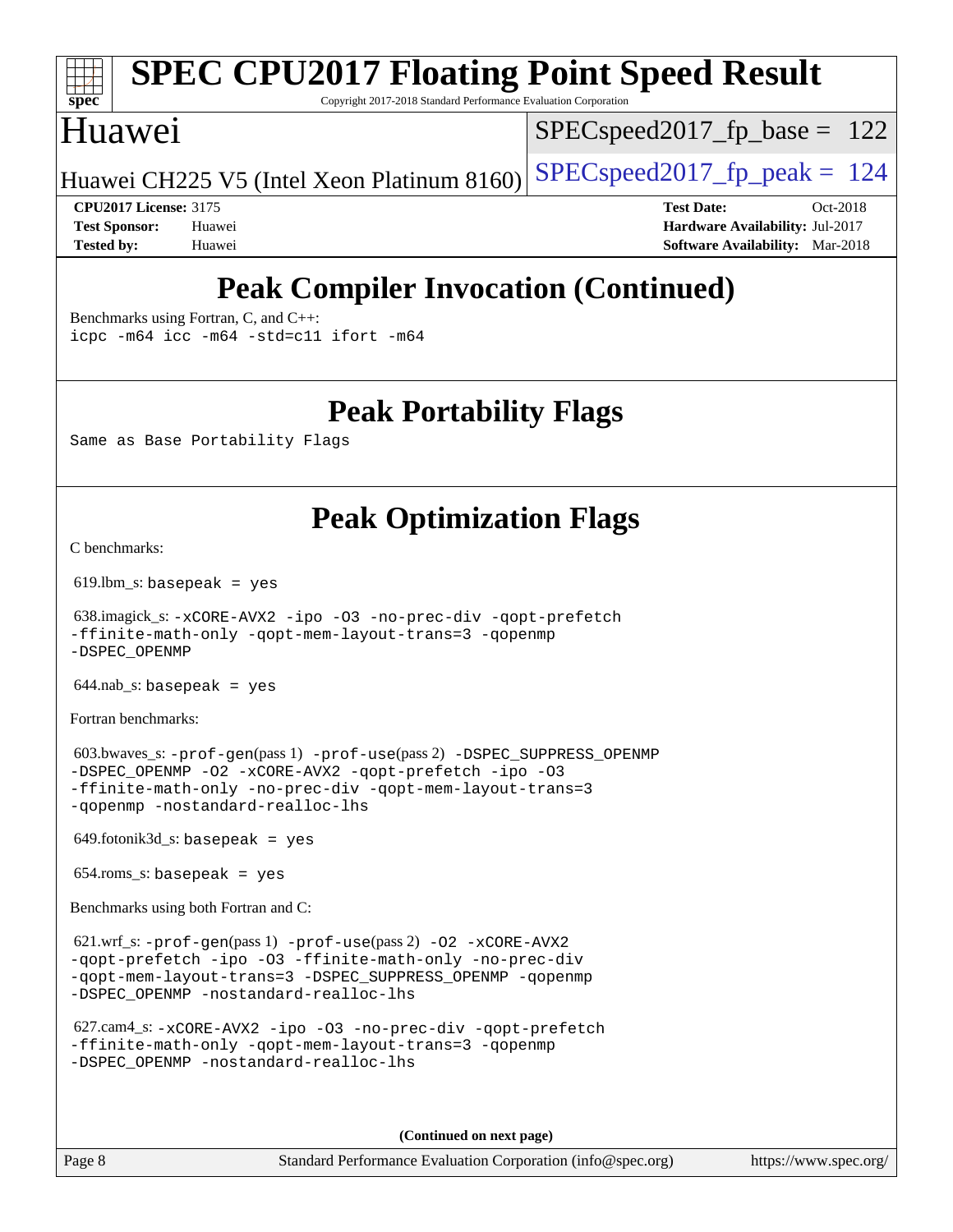# **[spec](http://www.spec.org/)**

# **[SPEC CPU2017 Floating Point Speed Result](http://www.spec.org/auto/cpu2017/Docs/result-fields.html#SPECCPU2017FloatingPointSpeedResult)**

Copyright 2017-2018 Standard Performance Evaluation Corporation

## Huawei

SPECspeed2017 fp base =  $122$ 

Huawei CH225 V5 (Intel Xeon Platinum 8160) SPECspeed2017\_fp\_peak  $= 124$ 

**[CPU2017 License:](http://www.spec.org/auto/cpu2017/Docs/result-fields.html#CPU2017License)** 3175 **[Test Date:](http://www.spec.org/auto/cpu2017/Docs/result-fields.html#TestDate)** Oct-2018 **[Test Sponsor:](http://www.spec.org/auto/cpu2017/Docs/result-fields.html#TestSponsor)** Huawei **[Hardware Availability:](http://www.spec.org/auto/cpu2017/Docs/result-fields.html#HardwareAvailability)** Jul-2017 **[Tested by:](http://www.spec.org/auto/cpu2017/Docs/result-fields.html#Testedby)** Huawei **[Software Availability:](http://www.spec.org/auto/cpu2017/Docs/result-fields.html#SoftwareAvailability)** Mar-2018

## **[Peak Compiler Invocation \(Continued\)](http://www.spec.org/auto/cpu2017/Docs/result-fields.html#PeakCompilerInvocation)**

[Benchmarks using Fortran, C, and C++:](http://www.spec.org/auto/cpu2017/Docs/result-fields.html#BenchmarksusingFortranCandCXX) [icpc -m64](http://www.spec.org/cpu2017/results/res2018q4/cpu2017-20181015-09203.flags.html#user_CC_CXX_FCpeak_intel_icpc_64bit_4ecb2543ae3f1412ef961e0650ca070fec7b7afdcd6ed48761b84423119d1bf6bdf5cad15b44d48e7256388bc77273b966e5eb805aefd121eb22e9299b2ec9d9) [icc -m64 -std=c11](http://www.spec.org/cpu2017/results/res2018q4/cpu2017-20181015-09203.flags.html#user_CC_CXX_FCpeak_intel_icc_64bit_c11_33ee0cdaae7deeeab2a9725423ba97205ce30f63b9926c2519791662299b76a0318f32ddfffdc46587804de3178b4f9328c46fa7c2b0cd779d7a61945c91cd35) [ifort -m64](http://www.spec.org/cpu2017/results/res2018q4/cpu2017-20181015-09203.flags.html#user_CC_CXX_FCpeak_intel_ifort_64bit_24f2bb282fbaeffd6157abe4f878425411749daecae9a33200eee2bee2fe76f3b89351d69a8130dd5949958ce389cf37ff59a95e7a40d588e8d3a57e0c3fd751)

**[Peak Portability Flags](http://www.spec.org/auto/cpu2017/Docs/result-fields.html#PeakPortabilityFlags)**

Same as Base Portability Flags

## **[Peak Optimization Flags](http://www.spec.org/auto/cpu2017/Docs/result-fields.html#PeakOptimizationFlags)**

[C benchmarks](http://www.spec.org/auto/cpu2017/Docs/result-fields.html#Cbenchmarks):

619.lbm\_s: basepeak = yes

 638.imagick\_s: [-xCORE-AVX2](http://www.spec.org/cpu2017/results/res2018q4/cpu2017-20181015-09203.flags.html#user_peakCOPTIMIZE638_imagick_s_f-xCORE-AVX2) [-ipo](http://www.spec.org/cpu2017/results/res2018q4/cpu2017-20181015-09203.flags.html#user_peakCOPTIMIZE638_imagick_s_f-ipo) [-O3](http://www.spec.org/cpu2017/results/res2018q4/cpu2017-20181015-09203.flags.html#user_peakCOPTIMIZE638_imagick_s_f-O3) [-no-prec-div](http://www.spec.org/cpu2017/results/res2018q4/cpu2017-20181015-09203.flags.html#user_peakCOPTIMIZE638_imagick_s_f-no-prec-div) [-qopt-prefetch](http://www.spec.org/cpu2017/results/res2018q4/cpu2017-20181015-09203.flags.html#user_peakCOPTIMIZE638_imagick_s_f-qopt-prefetch) [-ffinite-math-only](http://www.spec.org/cpu2017/results/res2018q4/cpu2017-20181015-09203.flags.html#user_peakCOPTIMIZE638_imagick_s_f_finite_math_only_cb91587bd2077682c4b38af759c288ed7c732db004271a9512da14a4f8007909a5f1427ecbf1a0fb78ff2a814402c6114ac565ca162485bbcae155b5e4258871) [-qopt-mem-layout-trans=3](http://www.spec.org/cpu2017/results/res2018q4/cpu2017-20181015-09203.flags.html#user_peakCOPTIMIZE638_imagick_s_f-qopt-mem-layout-trans_de80db37974c74b1f0e20d883f0b675c88c3b01e9d123adea9b28688d64333345fb62bc4a798493513fdb68f60282f9a726aa07f478b2f7113531aecce732043) [-qopenmp](http://www.spec.org/cpu2017/results/res2018q4/cpu2017-20181015-09203.flags.html#user_peakCOPTIMIZE638_imagick_s_qopenmp_16be0c44f24f464004c6784a7acb94aca937f053568ce72f94b139a11c7c168634a55f6653758ddd83bcf7b8463e8028bb0b48b77bcddc6b78d5d95bb1df2967) [-DSPEC\\_OPENMP](http://www.spec.org/cpu2017/results/res2018q4/cpu2017-20181015-09203.flags.html#suite_peakCOPTIMIZE638_imagick_s_DSPEC_OPENMP)

 $644$ .nab\_s: basepeak = yes

[Fortran benchmarks](http://www.spec.org/auto/cpu2017/Docs/result-fields.html#Fortranbenchmarks):

 603.bwaves\_s: [-prof-gen](http://www.spec.org/cpu2017/results/res2018q4/cpu2017-20181015-09203.flags.html#user_peakPASS1_FFLAGSPASS1_LDFLAGS603_bwaves_s_prof_gen_5aa4926d6013ddb2a31985c654b3eb18169fc0c6952a63635c234f711e6e63dd76e94ad52365559451ec499a2cdb89e4dc58ba4c67ef54ca681ffbe1461d6b36)(pass 1) [-prof-use](http://www.spec.org/cpu2017/results/res2018q4/cpu2017-20181015-09203.flags.html#user_peakPASS2_FFLAGSPASS2_LDFLAGS603_bwaves_s_prof_use_1a21ceae95f36a2b53c25747139a6c16ca95bd9def2a207b4f0849963b97e94f5260e30a0c64f4bb623698870e679ca08317ef8150905d41bd88c6f78df73f19)(pass 2) [-DSPEC\\_SUPPRESS\\_OPENMP](http://www.spec.org/cpu2017/results/res2018q4/cpu2017-20181015-09203.flags.html#suite_peakPASS1_FOPTIMIZE603_bwaves_s_DSPEC_SUPPRESS_OPENMP) [-DSPEC\\_OPENMP](http://www.spec.org/cpu2017/results/res2018q4/cpu2017-20181015-09203.flags.html#suite_peakPASS2_FOPTIMIZE603_bwaves_s_DSPEC_OPENMP) [-O2](http://www.spec.org/cpu2017/results/res2018q4/cpu2017-20181015-09203.flags.html#user_peakPASS1_FOPTIMIZE603_bwaves_s_f-O2) [-xCORE-AVX2](http://www.spec.org/cpu2017/results/res2018q4/cpu2017-20181015-09203.flags.html#user_peakPASS2_FOPTIMIZE603_bwaves_s_f-xCORE-AVX2) [-qopt-prefetch](http://www.spec.org/cpu2017/results/res2018q4/cpu2017-20181015-09203.flags.html#user_peakPASS1_FOPTIMIZEPASS2_FOPTIMIZE603_bwaves_s_f-qopt-prefetch) [-ipo](http://www.spec.org/cpu2017/results/res2018q4/cpu2017-20181015-09203.flags.html#user_peakPASS2_FOPTIMIZE603_bwaves_s_f-ipo) [-O3](http://www.spec.org/cpu2017/results/res2018q4/cpu2017-20181015-09203.flags.html#user_peakPASS2_FOPTIMIZE603_bwaves_s_f-O3) [-ffinite-math-only](http://www.spec.org/cpu2017/results/res2018q4/cpu2017-20181015-09203.flags.html#user_peakPASS1_FOPTIMIZEPASS2_FOPTIMIZE603_bwaves_s_f_finite_math_only_cb91587bd2077682c4b38af759c288ed7c732db004271a9512da14a4f8007909a5f1427ecbf1a0fb78ff2a814402c6114ac565ca162485bbcae155b5e4258871) [-no-prec-div](http://www.spec.org/cpu2017/results/res2018q4/cpu2017-20181015-09203.flags.html#user_peakPASS2_FOPTIMIZE603_bwaves_s_f-no-prec-div) [-qopt-mem-layout-trans=3](http://www.spec.org/cpu2017/results/res2018q4/cpu2017-20181015-09203.flags.html#user_peakPASS1_FOPTIMIZEPASS2_FOPTIMIZE603_bwaves_s_f-qopt-mem-layout-trans_de80db37974c74b1f0e20d883f0b675c88c3b01e9d123adea9b28688d64333345fb62bc4a798493513fdb68f60282f9a726aa07f478b2f7113531aecce732043) [-qopenmp](http://www.spec.org/cpu2017/results/res2018q4/cpu2017-20181015-09203.flags.html#user_peakPASS2_FOPTIMIZE603_bwaves_s_qopenmp_16be0c44f24f464004c6784a7acb94aca937f053568ce72f94b139a11c7c168634a55f6653758ddd83bcf7b8463e8028bb0b48b77bcddc6b78d5d95bb1df2967) [-nostandard-realloc-lhs](http://www.spec.org/cpu2017/results/res2018q4/cpu2017-20181015-09203.flags.html#user_peakEXTRA_FOPTIMIZE603_bwaves_s_f_2003_std_realloc_82b4557e90729c0f113870c07e44d33d6f5a304b4f63d4c15d2d0f1fab99f5daaed73bdb9275d9ae411527f28b936061aa8b9c8f2d63842963b95c9dd6426b8a)

649.fotonik3d\_s: basepeak = yes

654.roms\_s: basepeak = yes

[Benchmarks using both Fortran and C](http://www.spec.org/auto/cpu2017/Docs/result-fields.html#BenchmarksusingbothFortranandC):

 621.wrf\_s: [-prof-gen](http://www.spec.org/cpu2017/results/res2018q4/cpu2017-20181015-09203.flags.html#user_peakPASS1_CFLAGSPASS1_FFLAGSPASS1_LDFLAGS621_wrf_s_prof_gen_5aa4926d6013ddb2a31985c654b3eb18169fc0c6952a63635c234f711e6e63dd76e94ad52365559451ec499a2cdb89e4dc58ba4c67ef54ca681ffbe1461d6b36)(pass 1) [-prof-use](http://www.spec.org/cpu2017/results/res2018q4/cpu2017-20181015-09203.flags.html#user_peakPASS2_CFLAGSPASS2_FFLAGSPASS2_LDFLAGS621_wrf_s_prof_use_1a21ceae95f36a2b53c25747139a6c16ca95bd9def2a207b4f0849963b97e94f5260e30a0c64f4bb623698870e679ca08317ef8150905d41bd88c6f78df73f19)(pass 2) [-O2](http://www.spec.org/cpu2017/results/res2018q4/cpu2017-20181015-09203.flags.html#user_peakPASS1_COPTIMIZEPASS1_FOPTIMIZE621_wrf_s_f-O2) [-xCORE-AVX2](http://www.spec.org/cpu2017/results/res2018q4/cpu2017-20181015-09203.flags.html#user_peakPASS2_COPTIMIZEPASS2_FOPTIMIZE621_wrf_s_f-xCORE-AVX2) [-qopt-prefetch](http://www.spec.org/cpu2017/results/res2018q4/cpu2017-20181015-09203.flags.html#user_peakPASS1_COPTIMIZEPASS1_FOPTIMIZEPASS2_COPTIMIZEPASS2_FOPTIMIZE621_wrf_s_f-qopt-prefetch) [-ipo](http://www.spec.org/cpu2017/results/res2018q4/cpu2017-20181015-09203.flags.html#user_peakPASS2_COPTIMIZEPASS2_FOPTIMIZE621_wrf_s_f-ipo) [-O3](http://www.spec.org/cpu2017/results/res2018q4/cpu2017-20181015-09203.flags.html#user_peakPASS2_COPTIMIZEPASS2_FOPTIMIZE621_wrf_s_f-O3) [-ffinite-math-only](http://www.spec.org/cpu2017/results/res2018q4/cpu2017-20181015-09203.flags.html#user_peakPASS1_COPTIMIZEPASS1_FOPTIMIZEPASS2_COPTIMIZEPASS2_FOPTIMIZE621_wrf_s_f_finite_math_only_cb91587bd2077682c4b38af759c288ed7c732db004271a9512da14a4f8007909a5f1427ecbf1a0fb78ff2a814402c6114ac565ca162485bbcae155b5e4258871) [-no-prec-div](http://www.spec.org/cpu2017/results/res2018q4/cpu2017-20181015-09203.flags.html#user_peakPASS2_COPTIMIZEPASS2_FOPTIMIZE621_wrf_s_f-no-prec-div) [-qopt-mem-layout-trans=3](http://www.spec.org/cpu2017/results/res2018q4/cpu2017-20181015-09203.flags.html#user_peakPASS1_COPTIMIZEPASS1_FOPTIMIZEPASS2_COPTIMIZEPASS2_FOPTIMIZE621_wrf_s_f-qopt-mem-layout-trans_de80db37974c74b1f0e20d883f0b675c88c3b01e9d123adea9b28688d64333345fb62bc4a798493513fdb68f60282f9a726aa07f478b2f7113531aecce732043) [-DSPEC\\_SUPPRESS\\_OPENMP](http://www.spec.org/cpu2017/results/res2018q4/cpu2017-20181015-09203.flags.html#suite_peakPASS1_COPTIMIZEPASS1_FOPTIMIZE621_wrf_s_DSPEC_SUPPRESS_OPENMP) [-qopenmp](http://www.spec.org/cpu2017/results/res2018q4/cpu2017-20181015-09203.flags.html#user_peakPASS2_COPTIMIZEPASS2_FOPTIMIZE621_wrf_s_qopenmp_16be0c44f24f464004c6784a7acb94aca937f053568ce72f94b139a11c7c168634a55f6653758ddd83bcf7b8463e8028bb0b48b77bcddc6b78d5d95bb1df2967) [-DSPEC\\_OPENMP](http://www.spec.org/cpu2017/results/res2018q4/cpu2017-20181015-09203.flags.html#suite_peakPASS2_COPTIMIZEPASS2_FOPTIMIZE621_wrf_s_DSPEC_OPENMP) [-nostandard-realloc-lhs](http://www.spec.org/cpu2017/results/res2018q4/cpu2017-20181015-09203.flags.html#user_peakEXTRA_FOPTIMIZE621_wrf_s_f_2003_std_realloc_82b4557e90729c0f113870c07e44d33d6f5a304b4f63d4c15d2d0f1fab99f5daaed73bdb9275d9ae411527f28b936061aa8b9c8f2d63842963b95c9dd6426b8a)

```
 627.cam4_s: -xCORE-AVX2 -ipo -O3 -no-prec-div -qopt-prefetch
-ffinite-math-only -qopt-mem-layout-trans=3 -qopenmp
-DSPEC_OPENMP -nostandard-realloc-lhs
```
**(Continued on next page)**